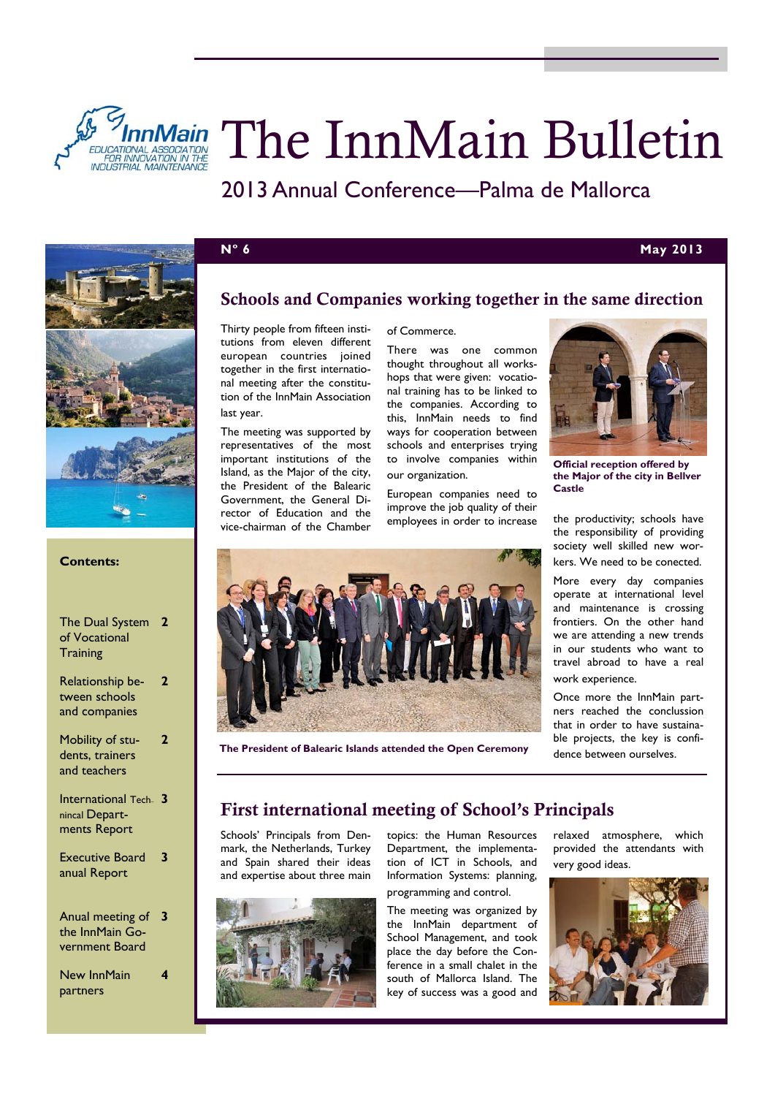

# *InnMain The InnMain Bulletin*

2013 Annual Conference—Palma de Mallorca

of Commerce.



## **Nº 6 May 2013**



#### **Contents:**

| The Dual System<br>of Vocational<br>Training          | 7  |
|-------------------------------------------------------|----|
| Relationship be-<br>tween schools<br>and companies    | 7  |
| Mobility of stu-<br>dents, trainers<br>and teachers   |    |
| International Tech-<br>nincal Depart-<br>ments Report | -3 |
| Executive Board<br>anual Report                       | 3  |
| Anual meeting of<br>the InnMain Go-<br>vernment Board | 3  |

New InnMain partners

**4** 

### Schools and Companies working together in the same direction

Thirty people from fifteen institutions from eleven different european countries joined together in the first international meeting after the constitution of the InnMain Association last year.

The meeting was supported by representatives of the most important institutions of the Island, as the Major of the city, the President of the Balearic Government, the General Director of Education and the vice-chairman of the Chamber

There was one common thought throughout all workshops that were given: vocational training has to be linked to the companies. According to this, InnMain needs to find ways for cooperation between schools and enterprises trying to involve companies within our organization.

European companies need to improve the job quality of their employees in order to increase



**Official reception offered by the Major of the city in Bellver Castle** 

the productivity; schools have the responsibility of providing society well skilled new workers. We need to be conected.

More every day companies operate at international level and maintenance is crossing frontiers. On the other hand we are attending a new trends in our students who want to travel abroad to have a real work experience.

Once more the InnMain partners reached the conclussion that in order to have sustainable projects, the key is confidence between ourselves.



**The President of Balearic Islands attended the Open Ceremony** 

# First international meeting of School's Principals

Schools' Principals from Denmark, the Netherlands, Turkey and Spain shared their ideas and expertise about three main



topics: the Human Resources Department, the implementation of ICT in Schools, and Information Systems: planning, programming and control.

The meeting was organized by the InnMain department of School Management, and took place the day before the Conference in a small chalet in the south of Mallorca Island. The key of success was a good and

relaxed atmosphere, which provided the attendants with very good ideas.

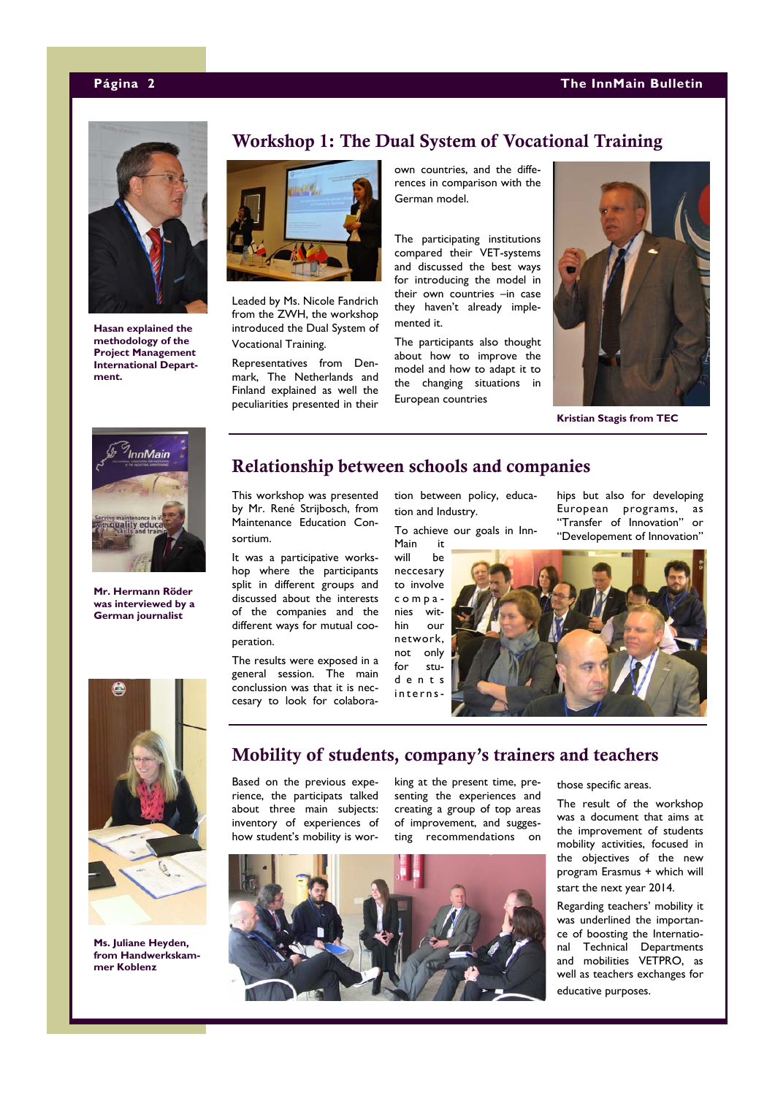

**Hasan explained the methodology of the Project Management International Department.** 

### Workshop 1: The Dual System of Vocational Training



Leaded by Ms. Nicole Fandrich from the ZWH, the workshop introduced the Dual System of Vocational Training.

Representatives from Denmark, The Netherlands and Finland explained as well the peculiarities presented in their own countries, and the differences in comparison with the German model.

The participating institutions compared their VET-systems and discussed the best ways for introducing the model in their own countries –in case they haven't already implemented it.

The participants also thought about how to improve the model and how to adapt it to the changing situations in European countries



**Kristian Stagis from TEC** 



**Mr. Hermann Röder was interviewed by a German journalist** 



This workshop was presented by Mr. René Strijbosch, from Maintenance Education Consortium.

It was a participative workshop where the participants split in different groups and discussed about the interests of the companies and the different ways for mutual cooperation.

The results were exposed in a general session. The main conclussion was that it is neccesary to look for colaboration between policy, education and Industry.

To achieve our goals in Inn-Main it

will be neccesary to involve companies within our network, not only for stud e n t s internships but also for developing European programs, as "Transfer of Innovation" or "Developement of Innovation"





**Ms. Juliane Heyden, from Handwerkskammer Koblenz** 

### Mobility of students, company's trainers and teachers

Based on the previous experience, the participats talked about three main subjects: inventory of experiences of how student's mobility is wor-

king at the present time, presenting the experiences and creating a group of top areas of improvement, and suggesting recommendations on



those specific areas.

The result of the workshop was a document that aims at the improvement of students mobility activities, focused in the objectives of the new program Erasmus + which will start the next year 2014.

Regarding teachers' mobility it was underlined the importance of boosting the International Technical Departments and mobilities VETPRO, as well as teachers exchanges for educative purposes.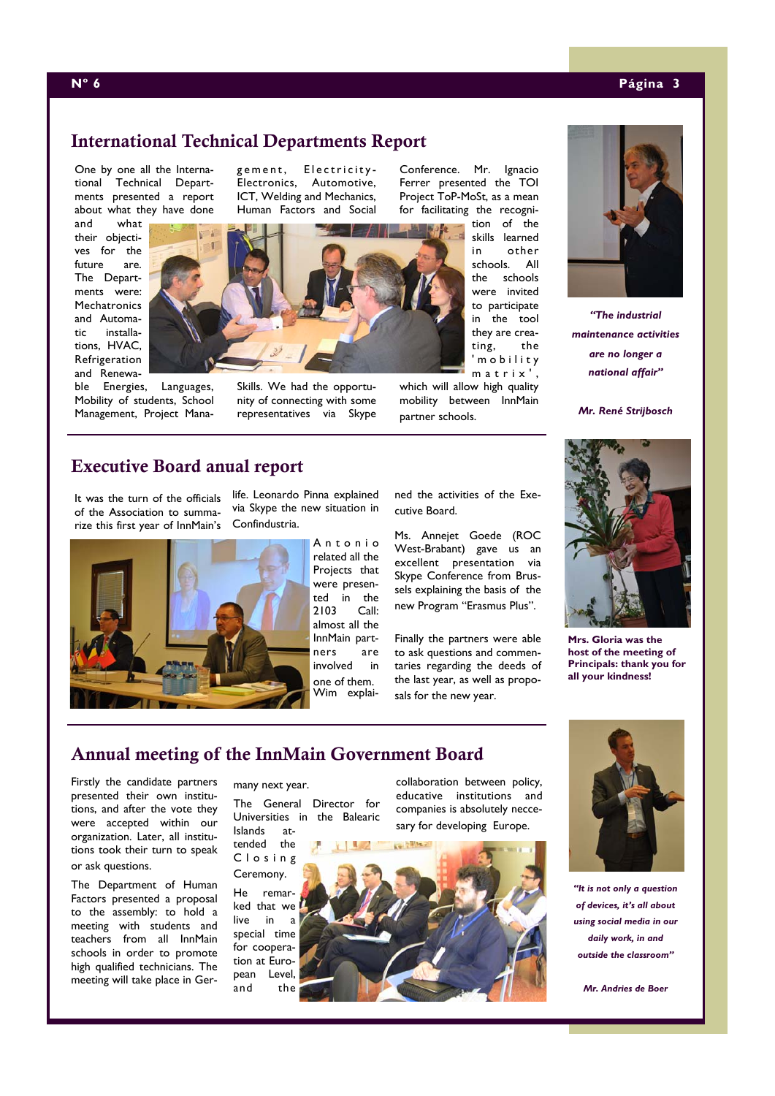#### **Nº 6 Página 3**

# International Technical Departments Report

One by one all the International Technical Departments presented a report about what they have done

and what their objectives for the future are. The Departments were: **Mechatronics** and Automatic installations, HVAC, Refrigeration and Renewa-

ble Energies, Languages, Mobility of students, School Management, Project Management, Electricity-Electronics, Automotive, ICT, Welding and Mechanics, Human Factors and Social



Skills. We had the opportunity of connecting with some representatives via Skype

Conference. Mr. Ignacio Ferrer presented the TOI Project ToP-MoSt, as a mean for facilitating the recogni-

tion of the skills learned in other schools. All the schools were invited to participate in the tool they are creating, the ' m o b i l i t y matrix'.

which will allow high quality mobility between InnMain partner schools.



*"The industrial maintenance activities are no longer a national affair"* 

*Mr. René Strijbosch* 



**Mrs. Gloria was the host of the meeting of Principals: thank you for all your kindness!** 

# Executive Board anual report

It was the turn of the officials of the Association to summarize this first year of InnMain's



life. Leonardo Pinna explained via Skype the new situation in Confindustria.

> A n t o n i o related all the Projects that were presented in the 2103 Call: almost all the InnMain partners are involved in one of them. Wim explai

ned the activities of the Executive Board.

Ms. Annejet Goede (ROC West-Brabant) gave us an excellent presentation via Skype Conference from Brussels explaining the basis of the new Program "Erasmus Plus".

Finally the partners were able to ask questions and commentaries regarding the deeds of the last year, as well as proposals for the new year.

## Annual meeting of the InnMain Government Board

Firstly the candidate partners presented their own institutions, and after the vote they were accepted within our organization. Later, all institutions took their turn to speak or ask questions.

The Department of Human Factors presented a proposal to the assembly: to hold a meeting with students and teachers from all InnMain schools in order to promote high qualified technicians. The meeting will take place in Germany next year.

The General Director for Universities in the Balearic Islands at-

tended the C l o s i n g

Ceremony. He remarked that we live in a special time for cooperation at European Level, and the

collaboration between policy, educative institutions and companies is absolutely neccesary for developing Europe.



*"It is not only a question of devices, it's all about using social media in our daily work, in and outside the classroom"* 

*Mr. Andries de Boer*